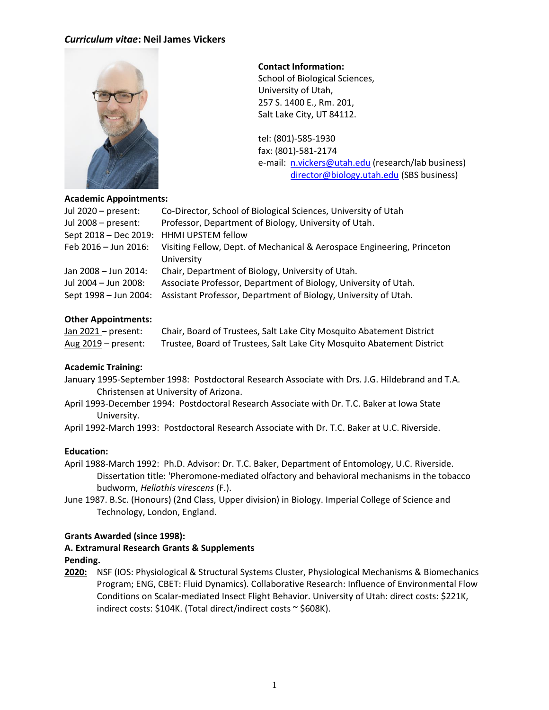

### **Contact Information:**

School of Biological Sciences, University of Utah, 257 S. 1400 E., Rm. 201, Salt Lake City, UT 84112.

tel: (801)-585-1930 fax: (801)-581-2174 e-mail: [n.vickers@utah.edu](mailto:n.vickers@utah.edu) (research/lab business) [director@biology.utah.edu](mailto:director@biology.utah.edu) (SBS business)

| <b>Academic Appointments:</b> |                                                                         |  |
|-------------------------------|-------------------------------------------------------------------------|--|
| Jul $2020$ – present:         | Co-Director, School of Biological Sciences, University of Utah          |  |
| Jul 2008 - present:           | Professor, Department of Biology, University of Utah.                   |  |
| Sept 2018 – Dec 2019:         | <b>HHMI UPSTEM fellow</b>                                               |  |
| Feb 2016 - Jun 2016:          | Visiting Fellow, Dept. of Mechanical & Aerospace Engineering, Princeton |  |
|                               | University                                                              |  |
| Jan 2008 - Jun 2014:          | Chair, Department of Biology, University of Utah.                       |  |
| Jul 2004 - Jun 2008:          | Associate Professor, Department of Biology, University of Utah.         |  |
| Sept 1998 - Jun 2004:         | Assistant Professor, Department of Biology, University of Utah.         |  |
|                               |                                                                         |  |

#### **Other Appointments:**

Jan 2021 – present: Chair, Board of Trustees, Salt Lake City Mosquito Abatement District Aug 2019 – present: Trustee, Board of Trustees, Salt Lake City Mosquito Abatement District

#### **Academic Training:**

January 1995-September 1998: Postdoctoral Research Associate with Drs. J.G. Hildebrand and T.A. Christensen at University of Arizona.

April 1993-December 1994: Postdoctoral Research Associate with Dr. T.C. Baker at Iowa State University.

April 1992-March 1993: Postdoctoral Research Associate with Dr. T.C. Baker at U.C. Riverside.

#### **Education:**

April 1988-March 1992: Ph.D. Advisor: Dr. T.C. Baker, Department of Entomology, U.C. Riverside. Dissertation title: 'Pheromone-mediated olfactory and behavioral mechanisms in the tobacco budworm, *Heliothis virescens* (F.).

June 1987. B.Sc. (Honours) (2nd Class, Upper division) in Biology. Imperial College of Science and Technology, London, England.

#### **Grants Awarded (since 1998):**

# **A. Extramural Research Grants & Supplements**

# **Pending.**

**2020:** NSF (IOS: Physiological & Structural Systems Cluster, Physiological Mechanisms & Biomechanics Program; ENG, CBET: Fluid Dynamics). Collaborative Research: Influence of Environmental Flow Conditions on Scalar-mediated Insect Flight Behavior. University of Utah: direct costs: \$221K, indirect costs: \$104K. (Total direct/indirect costs ~ \$608K).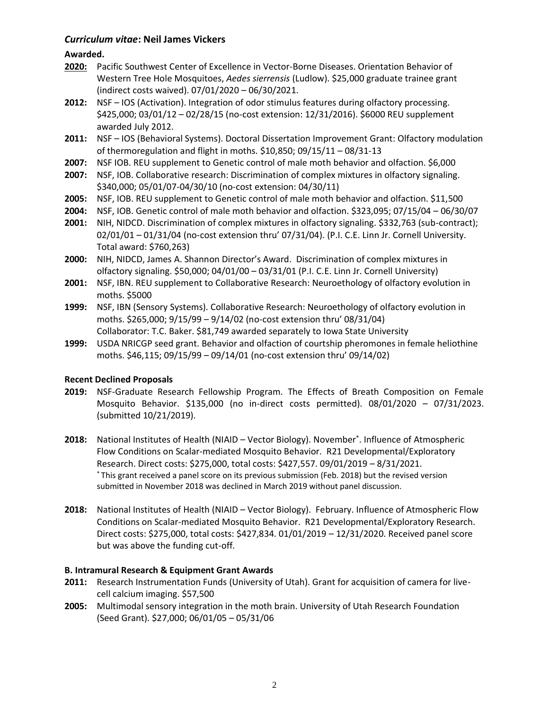# **Awarded.**

- **2020:** Pacific Southwest Center of Excellence in Vector-Borne Diseases. Orientation Behavior of Western Tree Hole Mosquitoes, *Aedes sierrensis* (Ludlow). \$25,000 graduate trainee grant (indirect costs waived). 07/01/2020 – 06/30/2021.
- **2012:** NSF IOS (Activation). Integration of odor stimulus features during olfactory processing. \$425,000; 03/01/12 – 02/28/15 (no-cost extension: 12/31/2016). \$6000 REU supplement awarded July 2012.
- **2011:** NSF IOS (Behavioral Systems). Doctoral Dissertation Improvement Grant: Olfactory modulation of thermoregulation and flight in moths. \$10,850; 09/15/11 – 08/31-13
- **2007:** NSF IOB. REU supplement to Genetic control of male moth behavior and olfaction. \$6,000
- **2007:** NSF, IOB. Collaborative research: Discrimination of complex mixtures in olfactory signaling. \$340,000; 05/01/07-04/30/10 (no-cost extension: 04/30/11)
- **2005:** NSF, IOB. REU supplement to Genetic control of male moth behavior and olfaction. \$11,500
- **2004:** NSF, IOB. Genetic control of male moth behavior and olfaction. \$323,095; 07/15/04 06/30/07
- **2001:** NIH, NIDCD. Discrimination of complex mixtures in olfactory signaling. \$332,763 (sub-contract); 02/01/01 – 01/31/04 (no-cost extension thru' 07/31/04). (P.I. C.E. Linn Jr. Cornell University. Total award: \$760,263)
- **2000:** NIH, NIDCD, James A. Shannon Director's Award. Discrimination of complex mixtures in olfactory signaling. \$50,000; 04/01/00 – 03/31/01 (P.I. C.E. Linn Jr. Cornell University)
- **2001:** NSF, IBN. REU supplement to Collaborative Research: Neuroethology of olfactory evolution in moths. \$5000
- **1999:** NSF, IBN (Sensory Systems). Collaborative Research: Neuroethology of olfactory evolution in moths. \$265,000; 9/15/99 – 9/14/02 (no-cost extension thru' 08/31/04) Collaborator: T.C. Baker. \$81,749 awarded separately to Iowa State University
- **1999:** USDA NRICGP seed grant. Behavior and olfaction of courtship pheromones in female heliothine moths. \$46,115; 09/15/99 – 09/14/01 (no-cost extension thru' 09/14/02)

# **Recent Declined Proposals**

- **2019:** NSF-Graduate Research Fellowship Program. The Effects of Breath Composition on Female Mosquito Behavior. \$135,000 (no in-direct costs permitted). 08/01/2020 – 07/31/2023. (submitted 10/21/2019).
- **2018:** National Institutes of Health (NIAID Vector Biology). November\* . Influence of Atmospheric Flow Conditions on Scalar-mediated Mosquito Behavior. R21 Developmental/Exploratory Research. Direct costs: \$275,000, total costs: \$427,557. 09/01/2019 – 8/31/2021. \* This grant received a panel score on its previous submission (Feb. 2018) but the revised version submitted in November 2018 was declined in March 2019 without panel discussion.
- **2018:** National Institutes of Health (NIAID Vector Biology). February. Influence of Atmospheric Flow Conditions on Scalar-mediated Mosquito Behavior. R21 Developmental/Exploratory Research. Direct costs: \$275,000, total costs: \$427,834. 01/01/2019 – 12/31/2020. Received panel score but was above the funding cut-off.

# **B. Intramural Research & Equipment Grant Awards**

- **2011:** Research Instrumentation Funds (University of Utah). Grant for acquisition of camera for livecell calcium imaging. \$57,500
- **2005:** Multimodal sensory integration in the moth brain. University of Utah Research Foundation (Seed Grant). \$27,000; 06/01/05 – 05/31/06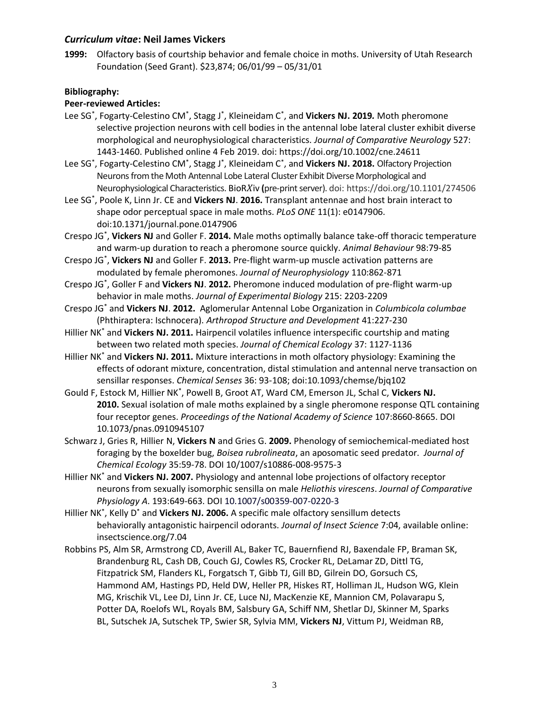**1999:** Olfactory basis of courtship behavior and female choice in moths. University of Utah Research Foundation (Seed Grant). \$23,874; 06/01/99 – 05/31/01

# **Bibliography:**

# **Peer-reviewed Articles:**

- Lee SG<sup>\*</sup>, Fogarty-Celestino CM<sup>\*</sup>, Stagg J<sup>\*</sup>, Kleineidam C<sup>\*</sup>, and **Vickers NJ. 2019.** Moth pheromone selective projection neurons with cell bodies in the antennal lobe lateral cluster exhibit diverse morphological and neurophysiological characteristics. *Journal of Comparative Neurology* 527: 1443-1460. Published online 4 Feb 2019. doi: https://doi.org/10.1002/cne.24611
- Lee SG\* , Fogarty-Celestino CM\* , Stagg J\* , Kleineidam C\* , and **Vickers NJ. 2018.** Olfactory Projection Neurons from the Moth Antennal Lobe Lateral Cluster Exhibit Diverse Morphological and Neurophysiological Characteristics. BioRXiv (pre-print server). doi: https://doi.org/10.1101/274506
- Lee SG\* , Poole K, Linn Jr. CE and **Vickers NJ**. **2016.** Transplant antennae and host brain interact to shape odor perceptual space in male moths. *PLoS ONE* 11(1): e0147906. doi:10.1371/journal.pone.0147906
- Crespo JG\* , **Vickers NJ** and Goller F. **2014.** Male moths optimally balance take-off thoracic temperature and warm-up duration to reach a pheromone source quickly. *Animal Behaviour* 98:79-85

Crespo JG\* , **Vickers NJ** and Goller F. **2013.** Pre-flight warm-up muscle activation patterns are modulated by female pheromones. *Journal of Neurophysiology* 110:862-871

- Crespo JG\* , Goller F and **Vickers NJ**. **2012.** Pheromone induced modulation of pre-flight warm-up behavior in male moths. *Journal of Experimental Biology* 215: 2203-2209
- Crespo JG\* and **Vickers NJ**. **2012.** Aglomerular Antennal Lobe Organization in *Columbicola columbae* (Phthiraptera: Ischnocera). *Arthropod Structure and Development* 41:227-230
- Hillier NK\* and **Vickers NJ. 2011.** Hairpencil volatiles influence interspecific courtship and mating between two related moth species. *Journal of Chemical Ecology* 37: 1127-1136
- Hillier NK\* and **Vickers NJ. 2011.** Mixture interactions in moth olfactory physiology: Examining the effects of odorant mixture, concentration, distal stimulation and antennal nerve transaction on sensillar responses. *Chemical Senses* 36: 93-108; doi:10.1093/chemse/bjq102
- Gould F, Estock M, Hillier NK\* , Powell B, Groot AT, Ward CM, Emerson JL, Schal C, **Vickers NJ. 2010.** Sexual isolation of male moths explained by a single pheromone response QTL containing four receptor genes. *Proceedings of the National Academy of Science* 107:8660-8665. DOI 10.1073/pnas.0910945107
- Schwarz J, Gries R, Hillier N, **Vickers N** and Gries G. **2009.** Phenology of semiochemical-mediated host foraging by the boxelder bug, *Boisea rubrolineata*, an aposomatic seed predator. *Journal of Chemical Ecology* 35:59-78. DOI 10/1007/s10886-008-9575-3
- Hillier NK\* and **Vickers NJ. 2007.** Physiology and antennal lobe projections of olfactory receptor neurons from sexually isomorphic sensilla on male *Heliothis virescens*. *Journal of Comparative Physiology A*. 193:649-663. DOI 10.1007/s00359-007-0220-3
- Hillier NK\* , Kelly D\* and **Vickers NJ. 2006.** A specific male olfactory sensillum detects behaviorally antagonistic hairpencil odorants. *Journal of Insect Science* 7:04, available online: insectscience.org/7.04
- Robbins PS, Alm SR, Armstrong CD, Averill AL, Baker TC, Bauernfiend RJ, Baxendale FP, Braman SK, Brandenburg RL, Cash DB, Couch GJ, Cowles RS, Crocker RL, DeLamar ZD, Dittl TG, Fitzpatrick SM, Flanders KL, Forgatsch T, Gibb TJ, Gill BD, Gilrein DO, Gorsuch CS, Hammond AM, Hastings PD, Held DW, Heller PR, Hiskes RT, Holliman JL, Hudson WG, Klein MG, Krischik VL, Lee DJ, Linn Jr. CE, Luce NJ, MacKenzie KE, Mannion CM, Polavarapu S, Potter DA, Roelofs WL, Royals BM, Salsbury GA, Schiff NM, Shetlar DJ, Skinner M, Sparks BL, Sutschek JA, Sutschek TP, Swier SR, Sylvia MM, **Vickers NJ**, Vittum PJ, Weidman RB,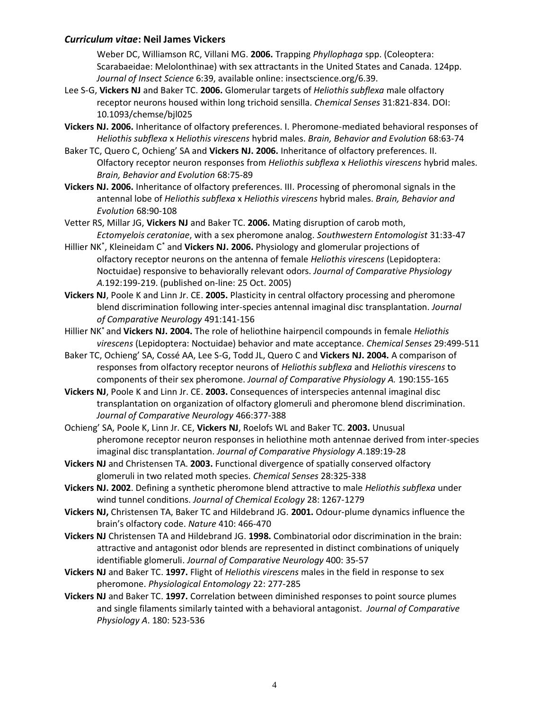Weber DC, Williamson RC, Villani MG. **2006.** Trapping *Phyllophaga* spp. (Coleoptera: Scarabaeidae: Melolonthinae) with sex attractants in the United States and Canada. 124pp. *Journal of Insect Science* 6:39, available online: insectscience.org/6.39.

- Lee S-G, **Vickers NJ** and Baker TC. **2006.** Glomerular targets of *Heliothis subflexa* male olfactory receptor neurons housed within long trichoid sensilla. *Chemical Senses* 31:821-834. DOI: 10.1093/chemse/bjl025
- **Vickers NJ. 2006.** Inheritance of olfactory preferences. I. Pheromone-mediated behavioral responses of *Heliothis subflexa* x *Heliothis virescens* hybrid males. *Brain, Behavior and Evolution* 68:63-74
- Baker TC, Quero C, Ochieng' SA and **Vickers NJ. 2006.** Inheritance of olfactory preferences. II. Olfactory receptor neuron responses from *Heliothis subflexa* x *Heliothis virescens* hybrid males. *Brain, Behavior and Evolution* 68:75-89
- **Vickers NJ. 2006.** Inheritance of olfactory preferences. III. Processing of pheromonal signals in the antennal lobe of *Heliothis subflexa* x *Heliothis virescens* hybrid males. *Brain, Behavior and Evolution* 68:90-108
- Vetter RS, Millar JG, **Vickers NJ** and Baker TC. **2006.** Mating disruption of carob moth, *Ectomyelois ceratoniae*, with a sex pheromone analog. *Southwestern Entomologist* 31:33-47
- Hillier NK\* , Kleineidam C\* and **Vickers NJ. 2006.** Physiology and glomerular projections of olfactory receptor neurons on the antenna of female *Heliothis virescens* (Lepidoptera: Noctuidae) responsive to behaviorally relevant odors. *Journal of Comparative Physiology A.*192:199-219. (published on-line: 25 Oct. 2005)
- **Vickers NJ**, Poole K and Linn Jr. CE. **2005.** Plasticity in central olfactory processing and pheromone blend discrimination following inter-species antennal imaginal disc transplantation. *Journal of Comparative Neurology* 491:141-156
- Hillier NK\* and **Vickers NJ. 2004.** The role of heliothine hairpencil compounds in female *Heliothis virescens* (Lepidoptera: Noctuidae) behavior and mate acceptance. *Chemical Senses* 29:499-511
- Baker TC, Ochieng' SA, Cossé AA, Lee S-G, Todd JL, Quero C and **Vickers NJ. 2004.** A comparison of responses from olfactory receptor neurons of *Heliothis subflexa* and *Heliothis virescens* to components of their sex pheromone. *Journal of Comparative Physiology A.* 190:155-165
- **Vickers NJ**, Poole K and Linn Jr. CE. **2003.** Consequences of interspecies antennal imaginal disc transplantation on organization of olfactory glomeruli and pheromone blend discrimination. *Journal of Comparative Neurology* 466:377-388
- Ochieng' SA, Poole K, Linn Jr. CE, **Vickers NJ**, Roelofs WL and Baker TC. **2003.** Unusual pheromone receptor neuron responses in heliothine moth antennae derived from inter-species imaginal disc transplantation. *Journal of Comparative Physiology A*.189:19-28
- **Vickers NJ** and Christensen TA. **2003.** Functional divergence of spatially conserved olfactory glomeruli in two related moth species. *Chemical Senses* 28:325-338
- **Vickers NJ. 2002**. Defining a synthetic pheromone blend attractive to male *Heliothis subflexa* under wind tunnel conditions. *Journal of Chemical Ecology* 28: 1267-1279
- **Vickers NJ,** Christensen TA, Baker TC and Hildebrand JG. **2001.** Odour-plume dynamics influence the brain's olfactory code. *Nature* 410: 466-470
- **Vickers NJ** Christensen TA and Hildebrand JG. **1998.** Combinatorial odor discrimination in the brain: attractive and antagonist odor blends are represented in distinct combinations of uniquely identifiable glomeruli. *Journal of Comparative Neurology* 400: 35-57
- **Vickers NJ** and Baker TC. **1997.** Flight of *Heliothis virescens* males in the field in response to sex pheromone. *Physiological Entomology* 22: 277-285
- **Vickers NJ** and Baker TC. **1997.** Correlation between diminished responses to point source plumes and single filaments similarly tainted with a behavioral antagonist. *Journal of Comparative Physiology A*. 180: 523-536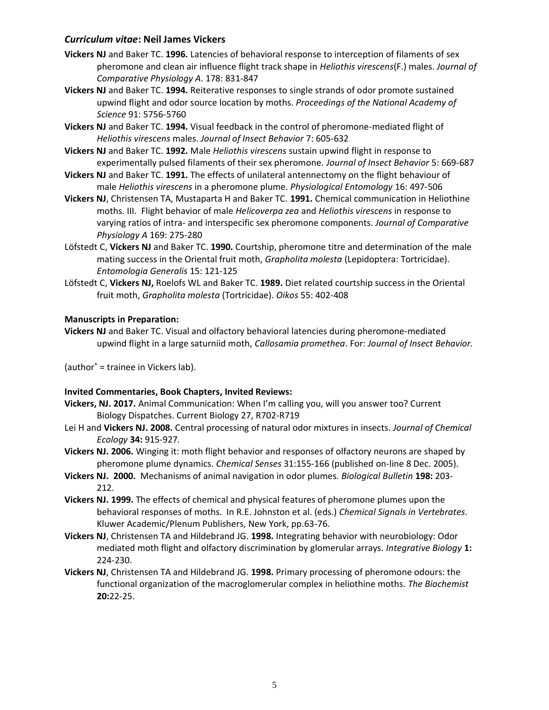- **Vickers NJ** and Baker TC. **1996.** Latencies of behavioral response to interception of filaments of sex pheromone and clean air influence flight track shape in *Heliothis virescens*(F.) males. *Journal of Comparative Physiology A*. 178: 831-847
- **Vickers NJ** and Baker TC. **1994.** Reiterative responses to single strands of odor promote sustained upwind flight and odor source location by moths. *Proceedings of the National Academy of Science* 91: 5756-5760
- **Vickers NJ** and Baker TC. **1994.** Visual feedback in the control of pheromone-mediated flight of *Heliothis virescens* males. *Journal of Insect Behavior* 7: 605-632
- **Vickers NJ** and Baker TC. **1992.** Male *Heliothis virescens* sustain upwind flight in response to experimentally pulsed filaments of their sex pheromone. *Journal of Insect Behavior* 5: 669-687
- **Vickers NJ** and Baker TC. **1991.** The effects of unilateral antennectomy on the flight behaviour of male *Heliothis virescens* in a pheromone plume. *Physiological Entomology* 16: 497-506
- **Vickers NJ**, Christensen TA, Mustaparta H and Baker TC. **1991.** Chemical communication in Heliothine moths. III. Flight behavior of male *Helicoverpa zea* and *Heliothis virescens* in response to varying ratios of intra- and interspecific sex pheromone components. *Journal of Comparative Physiology A* 169: 275-280
- Löfstedt C, **Vickers NJ** and Baker TC. **1990.** Courtship, pheromone titre and determination of the male mating success in the Oriental fruit moth, *Grapholita molesta* (Lepidoptera: Tortricidae). *Entomologia Generalis* 15: 121-125
- Löfstedt C, **Vickers NJ,** Roelofs WL and Baker TC. **1989.** Diet related courtship success in the Oriental fruit moth, *Grapholita molesta* (Tortricidae). *Oikos* 55: 402-408

### **Manuscripts in Preparation:**

**Vickers NJ** and Baker TC. Visual and olfactory behavioral latencies during pheromone-mediated upwind flight in a large saturniid moth, *Callosamia promethea*. For: *Journal of Insect Behavior.*

(author\* = trainee in Vickers lab).

### **Invited Commentaries, Book Chapters, Invited Reviews:**

- **Vickers, NJ. 2017.** Animal Communication: When I'm calling you, will you answer too? Current Biology Dispatches. Current Biology 27, R702-R719
- Lei H and **Vickers NJ. 2008.** Central processing of natural odor mixtures in insects. *Journal of Chemical Ecology* **34:** 915-927*.*
- **Vickers NJ. 2006.** Winging it: moth flight behavior and responses of olfactory neurons are shaped by pheromone plume dynamics. *Chemical Senses* 31:155-166 (published on-line 8 Dec. 2005).
- **Vickers NJ. 2000.** Mechanisms of animal navigation in odor plumes. *Biological Bulletin* **198:** 203- 212.
- **Vickers NJ. 1999.** The effects of chemical and physical features of pheromone plumes upon the behavioral responses of moths. In R.E. Johnston et al. (eds.) *Chemical Signals in Vertebrates*. Kluwer Academic/Plenum Publishers, New York, pp.63-76.
- **Vickers NJ**, Christensen TA and Hildebrand JG. **1998.** Integrating behavior with neurobiology: Odor mediated moth flight and olfactory discrimination by glomerular arrays. *Integrative Biology* **1:** 224-230.
- **Vickers NJ**, Christensen TA and Hildebrand JG. **1998.** Primary processing of pheromone odours: the functional organization of the macroglomerular complex in heliothine moths. *The Biochemist* **20:**22-25.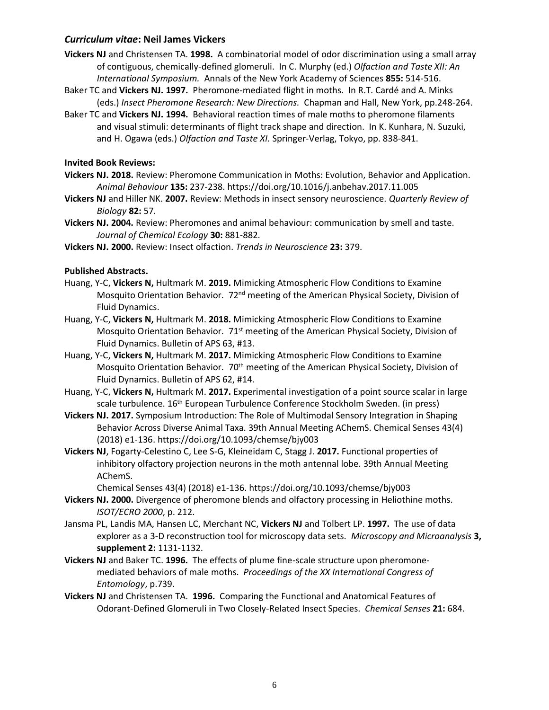- **Vickers NJ** and Christensen TA. **1998.** A combinatorial model of odor discrimination using a small array of contiguous, chemically-defined glomeruli. In C. Murphy (ed.) *Olfaction and Taste XII: An International Symposium.* Annals of the New York Academy of Sciences **855:** 514-516.
- Baker TC and **Vickers NJ. 1997.** Pheromone-mediated flight in moths. In R.T. Cardé and A. Minks (eds.) *Insect Pheromone Research: New Directions.* Chapman and Hall, New York, pp.248-264.
- Baker TC and **Vickers NJ. 1994.** Behavioral reaction times of male moths to pheromone filaments and visual stimuli: determinants of flight track shape and direction. In K. Kunhara, N. Suzuki, and H. Ogawa (eds.) *Olfaction and Taste XI.* Springer-Verlag, Tokyo, pp. 838-841.

# **Invited Book Reviews:**

- **Vickers NJ. 2018.** Review: Pheromone Communication in Moths: Evolution, Behavior and Application. *Animal Behaviour* **135:** 237-238. https://doi.org/10.1016/j.anbehav.2017.11.005
- **Vickers NJ** and Hiller NK. **2007.** Review: Methods in insect sensory neuroscience. *Quarterly Review of Biology* **82:** 57.
- **Vickers NJ. 2004.** Review: Pheromones and animal behaviour: communication by smell and taste. *Journal of Chemical Ecology* **30:** 881-882.
- **Vickers NJ. 2000.** Review: Insect olfaction. *Trends in Neuroscience* **23:** 379.

# **Published Abstracts.**

- Huang, Y-C, **Vickers N,** Hultmark M. **2019.** Mimicking Atmospheric Flow Conditions to Examine Mosquito Orientation Behavior. 72<sup>nd</sup> meeting of the American Physical Society, Division of Fluid Dynamics.
- Huang, Y-C, **Vickers N,** Hultmark M. **2018.** Mimicking Atmospheric Flow Conditions to Examine Mosquito Orientation Behavior. 71<sup>st</sup> meeting of the American Physical Society, Division of Fluid Dynamics. Bulletin of APS 63, #13.
- Huang, Y-C, **Vickers N,** Hultmark M. **2017.** Mimicking Atmospheric Flow Conditions to Examine Mosquito Orientation Behavior. 70<sup>th</sup> meeting of the American Physical Society, Division of Fluid Dynamics. Bulletin of APS 62, #14.
- Huang, Y-C, **Vickers N,** Hultmark M. **2017.** Experimental investigation of a point source scalar in large scale turbulence. 16<sup>th</sup> European Turbulence Conference Stockholm Sweden. (in press)
- **Vickers NJ. 2017.** Symposium Introduction: The Role of Multimodal Sensory Integration in Shaping Behavior Across Diverse Animal Taxa. 39th Annual Meeting AChemS. Chemical Senses 43(4) (2018) e1-136.<https://doi.org/10.1093/chemse/bjy003>
- **Vickers NJ**, Fogarty-Celestino C, Lee S-G, Kleineidam C, Stagg J. **2017.** Functional properties of inhibitory olfactory projection neurons in the moth antennal lobe. 39th Annual Meeting AChemS.

Chemical Senses 43(4) (2018) e1-136.<https://doi.org/10.1093/chemse/bjy003>

- **Vickers NJ. 2000.** Divergence of pheromone blends and olfactory processing in Heliothine moths. *ISOT/ECRO 2000*, p. 212.
- Jansma PL, Landis MA, Hansen LC, Merchant NC, **Vickers NJ** and Tolbert LP. **1997.** The use of data explorer as a 3-D reconstruction tool for microscopy data sets. *Microscopy and Microanalysis* **3, supplement 2:** 1131-1132.
- **Vickers NJ** and Baker TC. **1996.** The effects of plume fine-scale structure upon pheromonemediated behaviors of male moths. *Proceedings of the XX International Congress of Entomology*, p.739.
- **Vickers NJ** and Christensen TA. **1996.** Comparing the Functional and Anatomical Features of Odorant-Defined Glomeruli in Two Closely-Related Insect Species. *Chemical Senses* **21:** 684.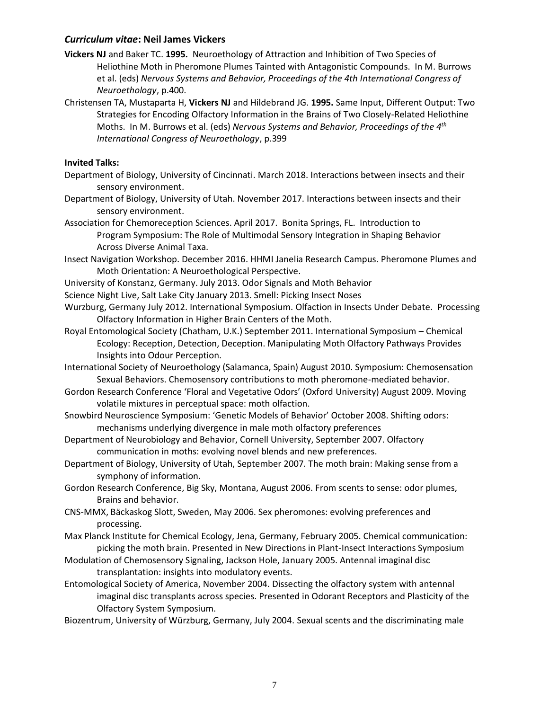- **Vickers NJ** and Baker TC. **1995.** Neuroethology of Attraction and Inhibition of Two Species of Heliothine Moth in Pheromone Plumes Tainted with Antagonistic Compounds. In M. Burrows et al. (eds) *Nervous Systems and Behavior, Proceedings of the 4th International Congress of Neuroethology*, p.400.
- Christensen TA, Mustaparta H, **Vickers NJ** and Hildebrand JG. **1995.** Same Input, Different Output: Two Strategies for Encoding Olfactory Information in the Brains of Two Closely-Related Heliothine Moths. In M. Burrows et al. (eds) *Nervous Systems and Behavior, Proceedings of the 4th International Congress of Neuroethology*, p.399

### **Invited Talks:**

- Department of Biology, University of Cincinnati. March 2018. Interactions between insects and their sensory environment.
- Department of Biology, University of Utah. November 2017. Interactions between insects and their sensory environment.
- Association for Chemoreception Sciences. April 2017. Bonita Springs, FL. Introduction to Program Symposium: The Role of Multimodal Sensory Integration in Shaping Behavior Across Diverse Animal Taxa.
- Insect Navigation Workshop. December 2016. HHMI Janelia Research Campus. Pheromone Plumes and Moth Orientation: A Neuroethological Perspective.
- University of Konstanz, Germany. July 2013. Odor Signals and Moth Behavior
- Science Night Live, Salt Lake City January 2013. Smell: Picking Insect Noses
- Wurzburg, Germany July 2012. International Symposium. Olfaction in Insects Under Debate.Processing Olfactory Information in Higher Brain Centers of the Moth.
- Royal Entomological Society (Chatham, U.K.) September 2011. International Symposium Chemical Ecology: Reception, Detection, Deception. Manipulating Moth Olfactory Pathways Provides Insights into Odour Perception.
- International Society of Neuroethology (Salamanca, Spain) August 2010. Symposium: Chemosensation Sexual Behaviors. Chemosensory contributions to moth pheromone-mediated behavior.
- Gordon Research Conference 'Floral and Vegetative Odors' (Oxford University) August 2009. Moving volatile mixtures in perceptual space: moth olfaction.
- Snowbird Neuroscience Symposium: 'Genetic Models of Behavior' October 2008. Shifting odors: mechanisms underlying divergence in male moth olfactory preferences
- Department of Neurobiology and Behavior, Cornell University, September 2007. Olfactory communication in moths: evolving novel blends and new preferences.
- Department of Biology, University of Utah, September 2007. The moth brain: Making sense from a symphony of information.
- Gordon Research Conference, Big Sky, Montana, August 2006. From scents to sense: odor plumes, Brains and behavior.
- CNS-MMX, Bäckaskog Slott, Sweden, May 2006. Sex pheromones: evolving preferences and processing.
- Max Planck Institute for Chemical Ecology, Jena, Germany, February 2005. Chemical communication: picking the moth brain. Presented in New Directions in Plant-Insect Interactions Symposium
- Modulation of Chemosensory Signaling, Jackson Hole, January 2005. Antennal imaginal disc transplantation: insights into modulatory events.
- Entomological Society of America, November 2004. Dissecting the olfactory system with antennal imaginal disc transplants across species. Presented in Odorant Receptors and Plasticity of the Olfactory System Symposium.

Biozentrum, University of Würzburg, Germany, July 2004. Sexual scents and the discriminating male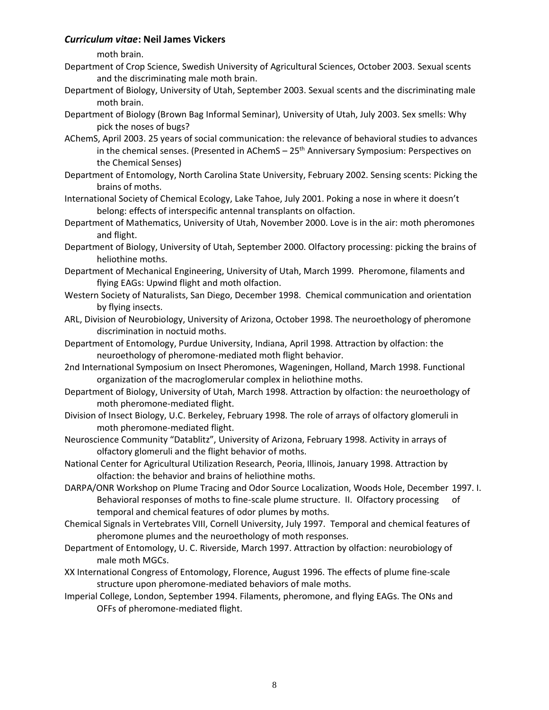moth brain.

- Department of Crop Science, Swedish University of Agricultural Sciences, October 2003. Sexual scents and the discriminating male moth brain.
- Department of Biology, University of Utah, September 2003. Sexual scents and the discriminating male moth brain.
- Department of Biology (Brown Bag Informal Seminar), University of Utah, July 2003. Sex smells: Why pick the noses of bugs?
- AChemS, April 2003. 25 years of social communication: the relevance of behavioral studies to advances in the chemical senses. (Presented in AChemS - 25<sup>th</sup> Anniversary Symposium: Perspectives on the Chemical Senses)
- Department of Entomology, North Carolina State University, February 2002. Sensing scents: Picking the brains of moths.
- International Society of Chemical Ecology, Lake Tahoe, July 2001. Poking a nose in where it doesn't belong: effects of interspecific antennal transplants on olfaction.
- Department of Mathematics, University of Utah, November 2000. Love is in the air: moth pheromones and flight.
- Department of Biology, University of Utah, September 2000. Olfactory processing: picking the brains of heliothine moths.
- Department of Mechanical Engineering, University of Utah, March 1999. Pheromone, filaments and flying EAGs: Upwind flight and moth olfaction.
- Western Society of Naturalists, San Diego, December 1998. Chemical communication and orientation by flying insects.
- ARL, Division of Neurobiology, University of Arizona, October 1998. The neuroethology of pheromone discrimination in noctuid moths.
- Department of Entomology, Purdue University, Indiana, April 1998. Attraction by olfaction: the neuroethology of pheromone-mediated moth flight behavior.
- 2nd International Symposium on Insect Pheromones, Wageningen, Holland, March 1998. Functional organization of the macroglomerular complex in heliothine moths.
- Department of Biology, University of Utah, March 1998. Attraction by olfaction: the neuroethology of moth pheromone-mediated flight.
- Division of Insect Biology, U.C. Berkeley, February 1998. The role of arrays of olfactory glomeruli in moth pheromone-mediated flight.
- Neuroscience Community "Datablitz", University of Arizona, February 1998. Activity in arrays of olfactory glomeruli and the flight behavior of moths.
- National Center for Agricultural Utilization Research, Peoria, Illinois, January 1998. Attraction by olfaction: the behavior and brains of heliothine moths.
- DARPA/ONR Workshop on Plume Tracing and Odor Source Localization, Woods Hole, December 1997. I. Behavioral responses of moths to fine-scale plume structure. II. Olfactory processing temporal and chemical features of odor plumes by moths.
- Chemical Signals in Vertebrates VIII, Cornell University, July 1997. Temporal and chemical features of pheromone plumes and the neuroethology of moth responses.
- Department of Entomology, U. C. Riverside, March 1997. Attraction by olfaction: neurobiology of male moth MGCs.
- XX International Congress of Entomology, Florence, August 1996. The effects of plume fine-scale structure upon pheromone-mediated behaviors of male moths.
- Imperial College, London, September 1994. Filaments, pheromone, and flying EAGs. The ONs and OFFs of pheromone-mediated flight.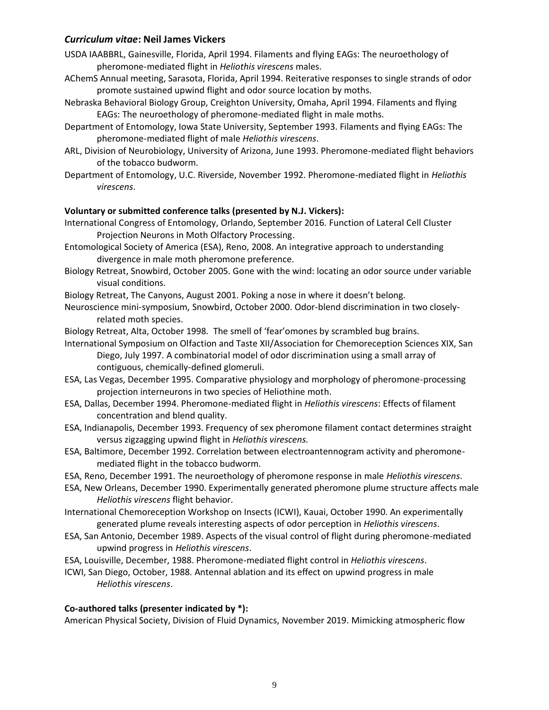- USDA IAABBRL, Gainesville, Florida, April 1994. Filaments and flying EAGs: The neuroethology of pheromone-mediated flight in *Heliothis virescens* males.
- AChemS Annual meeting, Sarasota, Florida, April 1994. Reiterative responses to single strands of odor promote sustained upwind flight and odor source location by moths.
- Nebraska Behavioral Biology Group, Creighton University, Omaha, April 1994. Filaments and flying EAGs: The neuroethology of pheromone-mediated flight in male moths.
- Department of Entomology, Iowa State University, September 1993. Filaments and flying EAGs: The pheromone-mediated flight of male *Heliothis virescens*.
- ARL, Division of Neurobiology, University of Arizona, June 1993. Pheromone-mediated flight behaviors of the tobacco budworm.
- Department of Entomology, U.C. Riverside, November 1992. Pheromone-mediated flight in *Heliothis virescens*.

### **Voluntary or submitted conference talks (presented by N.J. Vickers):**

- International Congress of Entomology, Orlando, September 2016. Function of Lateral Cell Cluster Projection Neurons in Moth Olfactory Processing.
- Entomological Society of America (ESA), Reno, 2008. An integrative approach to understanding divergence in male moth pheromone preference.
- Biology Retreat, Snowbird, October 2005. Gone with the wind: locating an odor source under variable visual conditions.
- Biology Retreat, The Canyons, August 2001. Poking a nose in where it doesn't belong.
- Neuroscience mini-symposium, Snowbird, October 2000. Odor-blend discrimination in two closelyrelated moth species.
- Biology Retreat, Alta, October 1998. The smell of 'fear'omones by scrambled bug brains.
- International Symposium on Olfaction and Taste XII/Association for Chemoreception Sciences XIX, San Diego, July 1997. A combinatorial model of odor discrimination using a small array of contiguous, chemically-defined glomeruli.
- ESA, Las Vegas, December 1995. Comparative physiology and morphology of pheromone-processing projection interneurons in two species of Heliothine moth.
- ESA, Dallas, December 1994. Pheromone-mediated flight in *Heliothis virescens*: Effects of filament concentration and blend quality.
- ESA, Indianapolis, December 1993. Frequency of sex pheromone filament contact determines straight versus zigzagging upwind flight in *Heliothis virescens.*
- ESA, Baltimore, December 1992. Correlation between electroantennogram activity and pheromonemediated flight in the tobacco budworm.
- ESA, Reno, December 1991. The neuroethology of pheromone response in male *Heliothis virescens*.
- ESA, New Orleans, December 1990. Experimentally generated pheromone plume structure affects male *Heliothis virescens* flight behavior.
- International Chemoreception Workshop on Insects (ICWI), Kauai, October 1990. An experimentally generated plume reveals interesting aspects of odor perception in *Heliothis virescens*.
- ESA, San Antonio, December 1989. Aspects of the visual control of flight during pheromone-mediated upwind progress in *Heliothis virescens*.
- ESA, Louisville, December, 1988. Pheromone-mediated flight control in *Heliothis virescens*.
- ICWI, San Diego, October, 1988. Antennal ablation and its effect on upwind progress in male *Heliothis virescens*.

### **Co-authored talks (presenter indicated by \*):**

American Physical Society, Division of Fluid Dynamics, November 2019. Mimicking atmospheric flow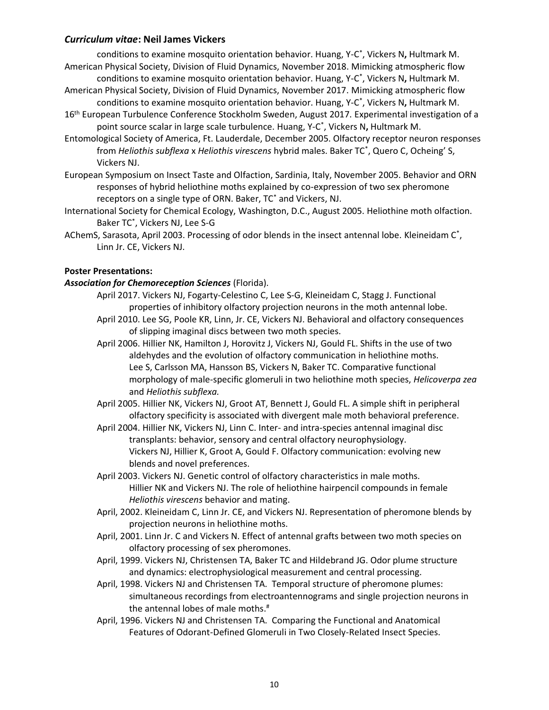conditions to examine mosquito orientation behavior. Huang, Y-C \* , Vickers N**,** Hultmark M. American Physical Society, Division of Fluid Dynamics, November 2018. Mimicking atmospheric flow

conditions to examine mosquito orientation behavior. Huang, Y-C \* , Vickers N**,** Hultmark M. American Physical Society, Division of Fluid Dynamics, November 2017. Mimicking atmospheric flow

conditions to examine mosquito orientation behavior. Huang, Y-C \* , Vickers N**,** Hultmark M. 16<sup>th</sup> European Turbulence Conference Stockholm Sweden, August 2017. Experimental investigation of a point source scalar in large scale turbulence. Huang, Y-C \* , Vickers N**,** Hultmark M.

Entomological Society of America, Ft. Lauderdale, December 2005. Olfactory receptor neuron responses from *Heliothis subflexa* x *Heliothis virescens* hybrid males. Baker TC\* , Quero C, Ocheing' S, Vickers NJ.

European Symposium on Insect Taste and Olfaction, Sardinia, Italy, November 2005. Behavior and ORN responses of hybrid heliothine moths explained by co-expression of two sex pheromone receptors on a single type of ORN. Baker, TC\* and Vickers, NJ.

International Society for Chemical Ecology, Washington, D.C., August 2005. Heliothine moth olfaction. Baker TC\* , Vickers NJ, Lee S-G

AChemS, Sarasota, April 2003. Processing of odor blends in the insect antennal lobe. Kleineidam C\* , Linn Jr. CE, Vickers NJ.

# **Poster Presentations:**

### *Association for Chemoreception Sciences* (Florida).

April 2017. Vickers NJ, Fogarty-Celestino C, Lee S-G, Kleineidam C, Stagg J. Functional properties of inhibitory olfactory projection neurons in the moth antennal lobe. April 2010. Lee SG, Poole KR, Linn, Jr. CE, Vickers NJ. Behavioral and olfactory consequences

of slipping imaginal discs between two moth species.

April 2006. Hillier NK, Hamilton J, Horovitz J, Vickers NJ, Gould FL. Shifts in the use of two aldehydes and the evolution of olfactory communication in heliothine moths. Lee S, Carlsson MA, Hansson BS, Vickers N, Baker TC. Comparative functional morphology of male-specific glomeruli in two heliothine moth species, *Helicoverpa zea* and *Heliothis subflexa.*

April 2005. Hillier NK, Vickers NJ, Groot AT, Bennett J, Gould FL. A simple shift in peripheral olfactory specificity is associated with divergent male moth behavioral preference.

April 2004. Hillier NK, Vickers NJ, Linn C. Inter- and intra-species antennal imaginal disc transplants: behavior, sensory and central olfactory neurophysiology. Vickers NJ, Hillier K, Groot A, Gould F. Olfactory communication: evolving new blends and novel preferences.

April 2003. Vickers NJ. Genetic control of olfactory characteristics in male moths. Hillier NK and Vickers NJ. The role of heliothine hairpencil compounds in female *Heliothis virescens* behavior and mating.

April, 2002. Kleineidam C, Linn Jr. CE, and Vickers NJ. Representation of pheromone blends by projection neurons in heliothine moths.

April, 2001. Linn Jr. C and Vickers N. Effect of antennal grafts between two moth species on olfactory processing of sex pheromones.

April, 1999. Vickers NJ, Christensen TA, Baker TC and Hildebrand JG. Odor plume structure and dynamics: electrophysiological measurement and central processing.

April, 1998. Vickers NJ and Christensen TA. Temporal structure of pheromone plumes: simultaneous recordings from electroantennograms and single projection neurons in the antennal lobes of male moths.#

April, 1996. Vickers NJ and Christensen TA. Comparing the Functional and Anatomical Features of Odorant-Defined Glomeruli in Two Closely-Related Insect Species.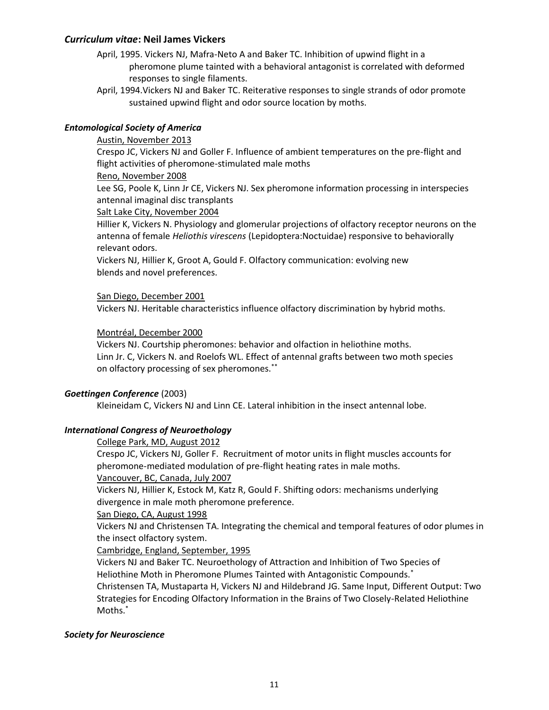- April, 1995. Vickers NJ, Mafra-Neto A and Baker TC. Inhibition of upwind flight in a pheromone plume tainted with a behavioral antagonist is correlated with deformed responses to single filaments.
- April, 1994.Vickers NJ and Baker TC. Reiterative responses to single strands of odor promote sustained upwind flight and odor source location by moths.

# *Entomological Society of America*

# Austin, November 2013

Crespo JC, Vickers NJ and Goller F. Influence of ambient temperatures on the pre-flight and flight activities of pheromone-stimulated male moths

### Reno, November 2008

Lee SG, Poole K, Linn Jr CE, Vickers NJ. Sex pheromone information processing in interspecies antennal imaginal disc transplants

### Salt Lake City, November 2004

Hillier K, Vickers N. Physiology and glomerular projections of olfactory receptor neurons on the antenna of female *Heliothis virescens* (Lepidoptera:Noctuidae) responsive to behaviorally relevant odors.

Vickers NJ, Hillier K, Groot A, Gould F. Olfactory communication: evolving new blends and novel preferences.

### San Diego, December 2001

Vickers NJ. Heritable characteristics influence olfactory discrimination by hybrid moths.

### Montréal, December 2000

Vickers NJ. Courtship pheromones: behavior and olfaction in heliothine moths. Linn Jr. C, Vickers N. and Roelofs WL. Effect of antennal grafts between two moth species on olfactory processing of sex pheromones.\*\*

### *Goettingen Conference* (2003)

Kleineidam C, Vickers NJ and Linn CE. Lateral inhibition in the insect antennal lobe.

### *International Congress of Neuroethology*

#### College Park, MD, August 2012

Crespo JC, Vickers NJ, Goller F. Recruitment of motor units in flight muscles accounts for pheromone-mediated modulation of pre-flight heating rates in male moths.

#### Vancouver, BC, Canada, July 2007

Vickers NJ, Hillier K, Estock M, Katz R, Gould F. Shifting odors: mechanisms underlying divergence in male moth pheromone preference.

#### San Diego, CA, August 1998

Vickers NJ and Christensen TA. Integrating the chemical and temporal features of odor plumes in the insect olfactory system.

### Cambridge, England, September, 1995

Vickers NJ and Baker TC. Neuroethology of Attraction and Inhibition of Two Species of Heliothine Moth in Pheromone Plumes Tainted with Antagonistic Compounds.\*

Christensen TA, Mustaparta H, Vickers NJ and Hildebrand JG. Same Input, Different Output: Two Strategies for Encoding Olfactory Information in the Brains of Two Closely-Related Heliothine Moths.\*

#### *Society for Neuroscience*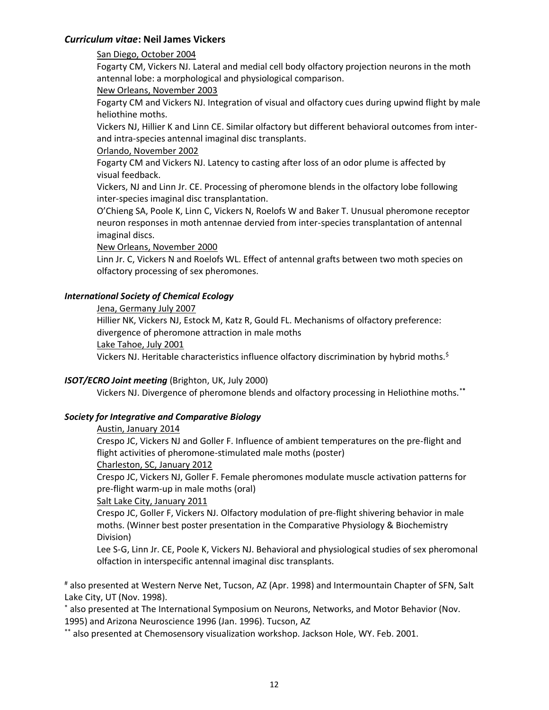### San Diego, October 2004

Fogarty CM, Vickers NJ. Lateral and medial cell body olfactory projection neurons in the moth antennal lobe: a morphological and physiological comparison.

### New Orleans, November 2003

Fogarty CM and Vickers NJ. Integration of visual and olfactory cues during upwind flight by male heliothine moths.

Vickers NJ, Hillier K and Linn CE. Similar olfactory but different behavioral outcomes from interand intra-species antennal imaginal disc transplants.

### Orlando, November 2002

Fogarty CM and Vickers NJ. Latency to casting after loss of an odor plume is affected by visual feedback.

Vickers, NJ and Linn Jr. CE. Processing of pheromone blends in the olfactory lobe following inter-species imaginal disc transplantation.

O'Chieng SA, Poole K, Linn C, Vickers N, Roelofs W and Baker T. Unusual pheromone receptor neuron responses in moth antennae dervied from inter-species transplantation of antennal imaginal discs.

New Orleans, November 2000

Linn Jr. C, Vickers N and Roelofs WL. Effect of antennal grafts between two moth species on olfactory processing of sex pheromones.

### *International Society of Chemical Ecology*

### Jena, Germany July 2007

Hillier NK, Vickers NJ, Estock M, Katz R, Gould FL. Mechanisms of olfactory preference: divergence of pheromone attraction in male moths Lake Tahoe, July 2001

Vickers NJ. Heritable characteristics influence olfactory discrimination by hybrid moths.<sup>\$</sup>

### *ISOT/ECRO Joint meeting* (Brighton, UK, July 2000)

Vickers NJ. Divergence of pheromone blends and olfactory processing in Heliothine moths.\***\***

### *Society for Integrative and Comparative Biology*

### Austin, January 2014

Crespo JC, Vickers NJ and Goller F. Influence of ambient temperatures on the pre-flight and flight activities of pheromone-stimulated male moths (poster)

#### Charleston, SC, January 2012

Crespo JC, Vickers NJ, Goller F. Female pheromones modulate muscle activation patterns for pre-flight warm-up in male moths (oral)

#### Salt Lake City, January 2011

Crespo JC, Goller F, Vickers NJ. Olfactory modulation of pre-flight shivering behavior in male moths. (Winner best poster presentation in the Comparative Physiology & Biochemistry Division)

Lee S-G, Linn Jr. CE, Poole K, Vickers NJ. Behavioral and physiological studies of sex pheromonal olfaction in interspecific antennal imaginal disc transplants.

# also presented at Western Nerve Net, Tucson, AZ (Apr. 1998) and Intermountain Chapter of SFN, Salt Lake City, UT (Nov. 1998).

\* also presented at The International Symposium on Neurons, Networks, and Motor Behavior (Nov. 1995) and Arizona Neuroscience 1996 (Jan. 1996). Tucson, AZ

\*\* also presented at Chemosensory visualization workshop. Jackson Hole, WY. Feb. 2001.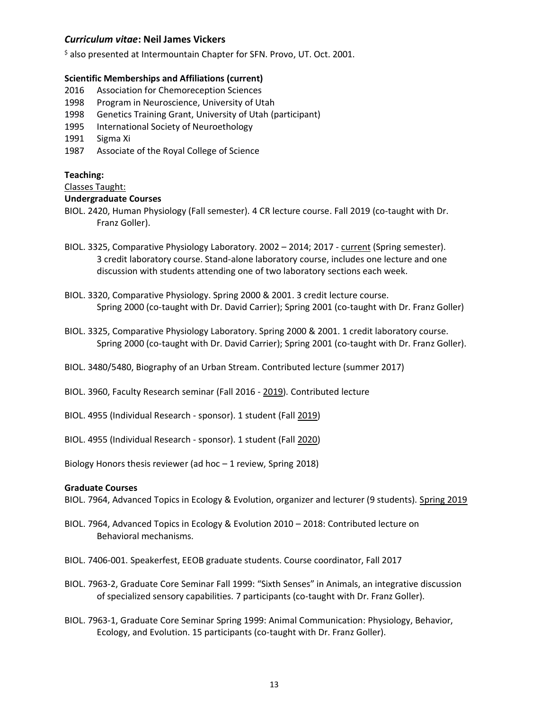$\frac{1}{2}$  also presented at Intermountain Chapter for SFN. Provo, UT. Oct. 2001.

### **Scientific Memberships and Affiliations (current)**

- 2016 Association for Chemoreception Sciences
- 1998 Program in Neuroscience, University of Utah
- 1998 Genetics Training Grant, University of Utah (participant)
- 1995 International Society of Neuroethology
- 1991 Sigma Xi
- 1987 Associate of the Royal College of Science

### **Teaching:**

#### Classes Taught:

### **Undergraduate Courses**

- BIOL. 2420, Human Physiology (Fall semester). 4 CR lecture course. Fall 2019 (co-taught with Dr. Franz Goller).
- BIOL. 3325, Comparative Physiology Laboratory. 2002 2014; 2017 current (Spring semester). 3 credit laboratory course. Stand-alone laboratory course, includes one lecture and one discussion with students attending one of two laboratory sections each week.
- BIOL. 3320, Comparative Physiology. Spring 2000 & 2001. 3 credit lecture course. Spring 2000 (co-taught with Dr. David Carrier); Spring 2001 (co-taught with Dr. Franz Goller)
- BIOL. 3325, Comparative Physiology Laboratory. Spring 2000 & 2001. 1 credit laboratory course. Spring 2000 (co-taught with Dr. David Carrier); Spring 2001 (co-taught with Dr. Franz Goller).
- BIOL. 3480/5480, Biography of an Urban Stream. Contributed lecture (summer 2017)
- BIOL. 3960, Faculty Research seminar (Fall 2016 2019). Contributed lecture
- BIOL. 4955 (Individual Research sponsor). 1 student (Fall 2019)
- BIOL. 4955 (Individual Research sponsor). 1 student (Fall 2020)

Biology Honors thesis reviewer (ad hoc – 1 review, Spring 2018)

#### **Graduate Courses**

BIOL. 7964, Advanced Topics in Ecology & Evolution, organizer and lecturer (9 students). Spring 2019

- BIOL. 7964, Advanced Topics in Ecology & Evolution 2010 2018: Contributed lecture on Behavioral mechanisms.
- BIOL. 7406-001. Speakerfest, EEOB graduate students. Course coordinator, Fall 2017
- BIOL. 7963-2, Graduate Core Seminar Fall 1999: "Sixth Senses" in Animals, an integrative discussion of specialized sensory capabilities. 7 participants (co-taught with Dr. Franz Goller).
- BIOL. 7963-1, Graduate Core Seminar Spring 1999: Animal Communication: Physiology, Behavior, Ecology, and Evolution. 15 participants (co-taught with Dr. Franz Goller).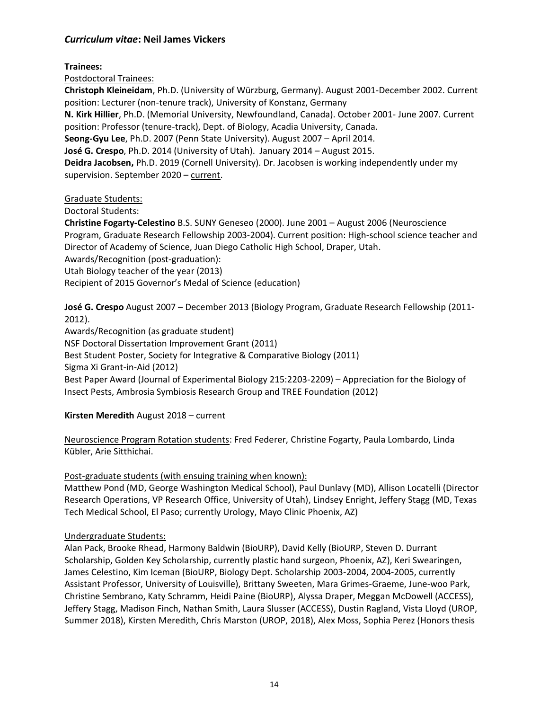**Trainees:**

Postdoctoral Trainees:

**Christoph Kleineidam**, Ph.D. (University of Würzburg, Germany). August 2001-December 2002. Current position: Lecturer (non-tenure track), University of Konstanz, Germany

**N. Kirk Hillier**, Ph.D. (Memorial University, Newfoundland, Canada). October 2001- June 2007. Current position: Professor (tenure-track), Dept. of Biology, Acadia University, Canada.

**Seong-Gyu Lee**, Ph.D. 2007 (Penn State University). August 2007 – April 2014.

**José G. Crespo**, Ph.D. 2014 (University of Utah). January 2014 – August 2015.

**Deidra Jacobsen,** Ph.D. 2019 (Cornell University). Dr. Jacobsen is working independently under my supervision. September 2020 – current.

# Graduate Students:

Doctoral Students:

**Christine Fogarty-Celestino** B.S. SUNY Geneseo (2000). June 2001 – August 2006 (Neuroscience Program, Graduate Research Fellowship 2003-2004). Current position: High-school science teacher and Director of Academy of Science, Juan Diego Catholic High School, Draper, Utah. Awards/Recognition (post-graduation):

Utah Biology teacher of the year (2013)

Recipient of 2015 Governor's Medal of Science (education)

**José G. Crespo** August 2007 – December 2013 (Biology Program, Graduate Research Fellowship (2011- 2012).

Awards/Recognition (as graduate student)

NSF Doctoral Dissertation Improvement Grant (2011)

Best Student Poster, Society for Integrative & Comparative Biology (2011)

Sigma Xi Grant-in-Aid (2012)

Best Paper Award (Journal of Experimental Biology 215:2203-2209) – Appreciation for the Biology of Insect Pests, Ambrosia Symbiosis Research Group and TREE Foundation (2012)

**Kirsten Meredith** August 2018 – current

Neuroscience Program Rotation students: Fred Federer, Christine Fogarty, Paula Lombardo, Linda Kübler, Arie Sitthichai.

# Post-graduate students (with ensuing training when known):

Matthew Pond (MD, George Washington Medical School), Paul Dunlavy (MD), Allison Locatelli (Director Research Operations, VP Research Office, University of Utah), Lindsey Enright, Jeffery Stagg (MD, Texas Tech Medical School, El Paso; currently Urology, Mayo Clinic Phoenix, AZ)

# Undergraduate Students:

Alan Pack, Brooke Rhead, Harmony Baldwin (BioURP), David Kelly (BioURP, Steven D. Durrant Scholarship, Golden Key Scholarship, currently plastic hand surgeon, Phoenix, AZ), Keri Swearingen, James Celestino, Kim Iceman (BioURP, Biology Dept. Scholarship 2003-2004, 2004-2005, currently Assistant Professor, University of Louisville), Brittany Sweeten, Mara Grimes-Graeme, June-woo Park, Christine Sembrano, Katy Schramm, Heidi Paine (BioURP), Alyssa Draper, Meggan McDowell (ACCESS), Jeffery Stagg, Madison Finch, Nathan Smith, Laura Slusser (ACCESS), Dustin Ragland, Vista Lloyd (UROP, Summer 2018), Kirsten Meredith, Chris Marston (UROP, 2018), Alex Moss, Sophia Perez (Honors thesis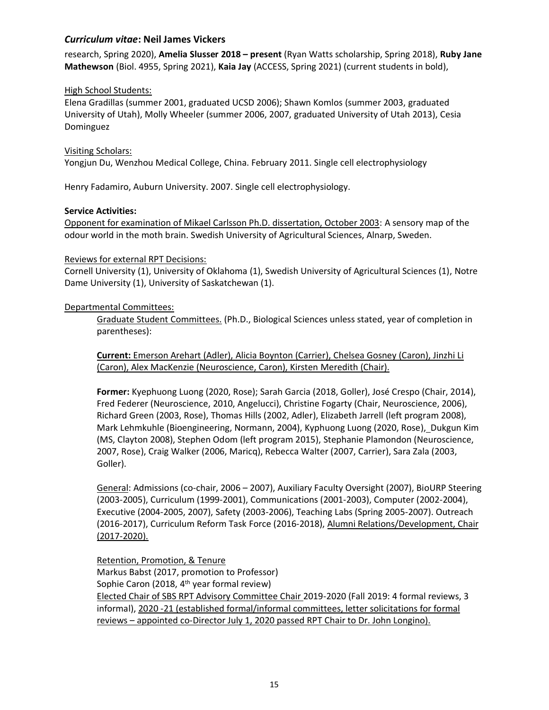research, Spring 2020), **Amelia Slusser 2018 – present** (Ryan Watts scholarship, Spring 2018), **Ruby Jane Mathewson** (Biol. 4955, Spring 2021), **Kaia Jay** (ACCESS, Spring 2021) (current students in bold),

### High School Students:

Elena Gradillas (summer 2001, graduated UCSD 2006); Shawn Komlos (summer 2003, graduated University of Utah), Molly Wheeler (summer 2006, 2007, graduated University of Utah 2013), Cesia Dominguez

#### Visiting Scholars:

Yongjun Du, Wenzhou Medical College, China. February 2011. Single cell electrophysiology

Henry Fadamiro, Auburn University. 2007. Single cell electrophysiology.

### **Service Activities:**

Opponent for examination of Mikael Carlsson Ph.D. dissertation, October 2003: A sensory map of the odour world in the moth brain. Swedish University of Agricultural Sciences, Alnarp, Sweden.

### Reviews for external RPT Decisions:

Cornell University (1), University of Oklahoma (1), Swedish University of Agricultural Sciences (1), Notre Dame University (1), University of Saskatchewan (1).

### Departmental Committees:

Graduate Student Committees. (Ph.D., Biological Sciences unless stated, year of completion in parentheses):

**Current:** Emerson Arehart (Adler), Alicia Boynton (Carrier), Chelsea Gosney (Caron), Jinzhi Li (Caron), Alex MacKenzie (Neuroscience, Caron), Kirsten Meredith (Chair).

**Former:** Kyephuong Luong (2020, Rose); Sarah Garcia (2018, Goller), José Crespo (Chair, 2014), Fred Federer (Neuroscience, 2010, Angelucci), Christine Fogarty (Chair, Neuroscience, 2006), Richard Green (2003, Rose), Thomas Hills (2002, Adler), Elizabeth Jarrell (left program 2008), Mark Lehmkuhle (Bioengineering, Normann, 2004), Kyphuong Luong (2020, Rose), Dukgun Kim (MS, Clayton 2008), Stephen Odom (left program 2015), Stephanie Plamondon (Neuroscience, 2007, Rose), Craig Walker (2006, Maricq), Rebecca Walter (2007, Carrier), Sara Zala (2003, Goller).

 General: Admissions (co-chair, 2006 – 2007), Auxiliary Faculty Oversight (2007), BioURP Steering (2003-2005), Curriculum (1999-2001), Communications (2001-2003), Computer (2002-2004), Executive (2004-2005, 2007), Safety (2003-2006), Teaching Labs (Spring 2005-2007). Outreach (2016-2017), Curriculum Reform Task Force (2016-2018), Alumni Relations/Development, Chair (2017-2020).

Retention, Promotion, & Tenure Markus Babst (2017, promotion to Professor) Sophie Caron (2018, 4<sup>th</sup> year formal review) Elected Chair of SBS RPT Advisory Committee Chair 2019-2020 (Fall 2019: 4 formal reviews, 3 informal), 2020 -21 (established formal/informal committees, letter solicitations for formal reviews – appointed co-Director July 1, 2020 passed RPT Chair to Dr. John Longino).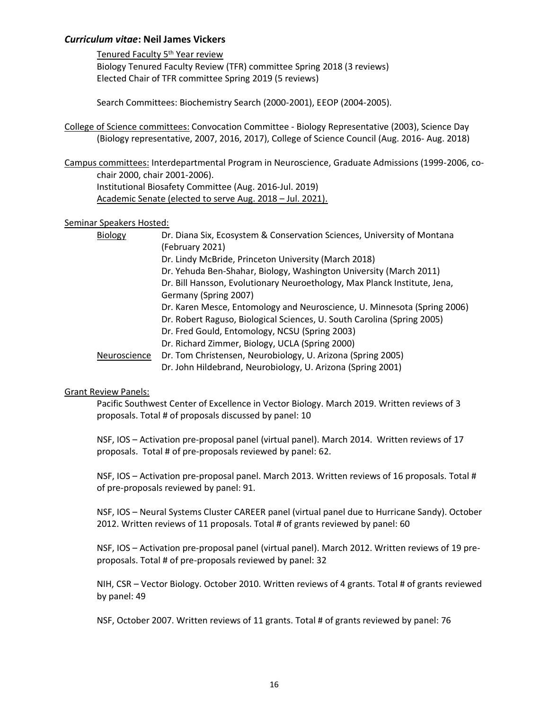Tenured Faculty 5<sup>th</sup> Year review

Biology Tenured Faculty Review (TFR) committee Spring 2018 (3 reviews) Elected Chair of TFR committee Spring 2019 (5 reviews)

Search Committees: Biochemistry Search (2000-2001), EEOP (2004-2005).

College of Science committees: Convocation Committee - Biology Representative (2003), Science Day (Biology representative, 2007, 2016, 2017), College of Science Council (Aug. 2016- Aug. 2018)

Campus committees: Interdepartmental Program in Neuroscience, Graduate Admissions (1999-2006, cochair 2000, chair 2001-2006). Institutional Biosafety Committee (Aug. 2016-Jul. 2019)

Academic Senate (elected to serve Aug. 2018 – Jul. 2021).

### Seminar Speakers Hosted:

| <b>Biology</b>      | Dr. Diana Six, Ecosystem & Conservation Sciences, University of Montana   |
|---------------------|---------------------------------------------------------------------------|
|                     | (February 2021)                                                           |
|                     | Dr. Lindy McBride, Princeton University (March 2018)                      |
|                     | Dr. Yehuda Ben-Shahar, Biology, Washington University (March 2011)        |
|                     | Dr. Bill Hansson, Evolutionary Neuroethology, Max Planck Institute, Jena, |
|                     | Germany (Spring 2007)                                                     |
|                     | Dr. Karen Mesce, Entomology and Neuroscience, U. Minnesota (Spring 2006)  |
|                     | Dr. Robert Raguso, Biological Sciences, U. South Carolina (Spring 2005)   |
|                     | Dr. Fred Gould, Entomology, NCSU (Spring 2003)                            |
|                     | Dr. Richard Zimmer, Biology, UCLA (Spring 2000)                           |
| <b>Neuroscience</b> | Dr. Tom Christensen, Neurobiology, U. Arizona (Spring 2005)               |
|                     | Dr. John Hildebrand, Neurobiology, U. Arizona (Spring 2001)               |

### Grant Review Panels:

Pacific Southwest Center of Excellence in Vector Biology. March 2019. Written reviews of 3 proposals. Total # of proposals discussed by panel: 10

NSF, IOS – Activation pre-proposal panel (virtual panel). March 2014. Written reviews of 17 proposals. Total # of pre-proposals reviewed by panel: 62.

NSF, IOS – Activation pre-proposal panel. March 2013. Written reviews of 16 proposals. Total # of pre-proposals reviewed by panel: 91.

NSF, IOS – Neural Systems Cluster CAREER panel (virtual panel due to Hurricane Sandy). October 2012. Written reviews of 11 proposals. Total # of grants reviewed by panel: 60

NSF, IOS – Activation pre-proposal panel (virtual panel). March 2012. Written reviews of 19 preproposals. Total # of pre-proposals reviewed by panel: 32

NIH, CSR – Vector Biology. October 2010. Written reviews of 4 grants. Total # of grants reviewed by panel: 49

NSF, October 2007. Written reviews of 11 grants. Total # of grants reviewed by panel: 76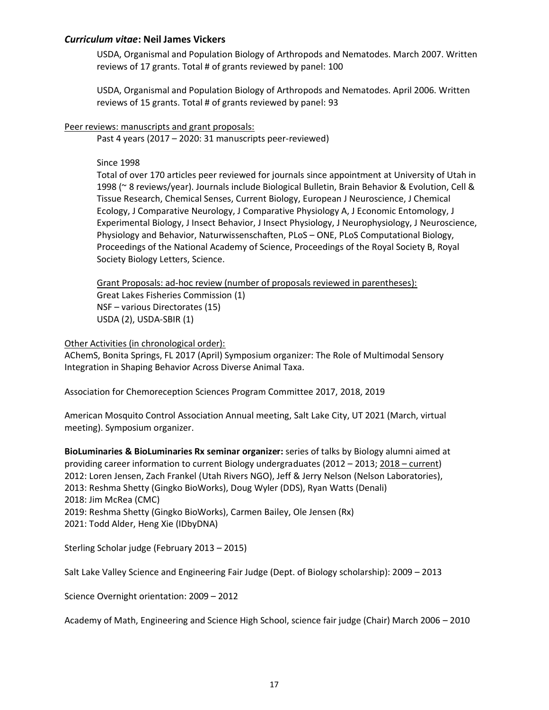USDA, Organismal and Population Biology of Arthropods and Nematodes. March 2007. Written reviews of 17 grants. Total # of grants reviewed by panel: 100

USDA, Organismal and Population Biology of Arthropods and Nematodes. April 2006. Written reviews of 15 grants. Total # of grants reviewed by panel: 93

### Peer reviews: manuscripts and grant proposals:

Past 4 years (2017 – 2020: 31 manuscripts peer-reviewed)

### Since 1998

Total of over 170 articles peer reviewed for journals since appointment at University of Utah in 1998 (~ 8 reviews/year). Journals include Biological Bulletin, Brain Behavior & Evolution, Cell & Tissue Research, Chemical Senses, Current Biology, European J Neuroscience, J Chemical Ecology, J Comparative Neurology, J Comparative Physiology A, J Economic Entomology, J Experimental Biology, J Insect Behavior, J Insect Physiology, J Neurophysiology, J Neuroscience, Physiology and Behavior, Naturwissenschaften, PLoS – ONE, PLoS Computational Biology, Proceedings of the National Academy of Science, Proceedings of the Royal Society B, Royal Society Biology Letters, Science.

Grant Proposals: ad-hoc review (number of proposals reviewed in parentheses): Great Lakes Fisheries Commission (1) NSF – various Directorates (15) USDA (2), USDA-SBIR (1)

### Other Activities (in chronological order):

AChemS, Bonita Springs, FL 2017 (April) Symposium organizer: The Role of Multimodal Sensory Integration in Shaping Behavior Across Diverse Animal Taxa.

Association for Chemoreception Sciences Program Committee 2017, 2018, 2019

American Mosquito Control Association Annual meeting, Salt Lake City, UT 2021 (March, virtual meeting). Symposium organizer.

**BioLuminaries & BioLuminaries Rx seminar organizer:** series of talks by Biology alumni aimed at providing career information to current Biology undergraduates (2012 – 2013; 2018 – current) 2012: Loren Jensen, Zach Frankel (Utah Rivers NGO), Jeff & Jerry Nelson (Nelson Laboratories), 2013: Reshma Shetty (Gingko BioWorks), Doug Wyler (DDS), Ryan Watts (Denali) 2018: Jim McRea (CMC) 2019: Reshma Shetty (Gingko BioWorks), Carmen Bailey, Ole Jensen (Rx) 2021: Todd Alder, Heng Xie (IDbyDNA)

Sterling Scholar judge (February 2013 – 2015)

Salt Lake Valley Science and Engineering Fair Judge (Dept. of Biology scholarship): 2009 – 2013

Science Overnight orientation: 2009 – 2012

Academy of Math, Engineering and Science High School, science fair judge (Chair) March 2006 – 2010